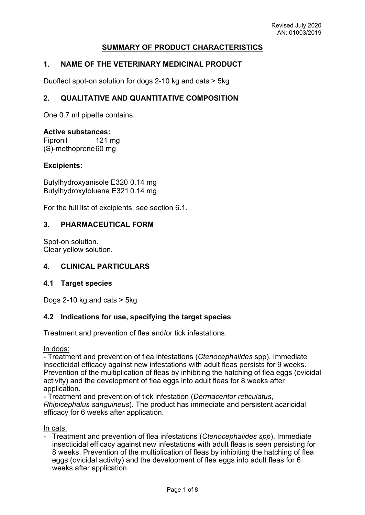## **SUMMARY OF PRODUCT CHARACTERISTICS**

## **1. NAME OF THE VETERINARY MEDICINAL PRODUCT**

Duoflect spot-on solution for dogs 2-10 kg and cats > 5kg

## **2. QUALITATIVE AND QUANTITATIVE COMPOSITION**

One 0.7 ml pipette contains:

#### **Active substances:**

Fipronil 121 mg (S)-methoprene60 mg

#### **Excipients:**

Butylhydroxyanisole E320 0.14 mg Butylhydroxytoluene E321 0.14 mg

For the full list of excipients, see section 6.1.

#### **3. PHARMACEUTICAL FORM**

Spot-on solution. Clear yellow solution.

#### **4. CLINICAL PARTICULARS**

#### **4.1 Target species**

Dogs 2-10 kg and cats > 5kg

#### **4.2 Indications for use, specifying the target species**

Treatment and prevention of flea and/or tick infestations.

In dogs:

- Treatment and prevention of flea infestations (*Ctenocephalides* spp). Immediate insecticidal efficacy against new infestations with adult fleas persists for 9 weeks. Prevention of the multiplication of fleas by inhibiting the hatching of flea eggs (ovicidal activity) and the development of flea eggs into adult fleas for 8 weeks after application.

- Treatment and prevention of tick infestation (*Dermacentor reticulatus*, *Rhipicephalus sanguineus*). The product has immediate and persistent acaricidal efficacy for 6 weeks after application.

In cats:

- Treatment and prevention of flea infestations (*Ctenocephalides spp*). Immediate insecticidal efficacy against new infestations with adult fleas is seen persisting for 8 weeks. Prevention of the multiplication of fleas by inhibiting the hatching of flea eggs (ovicidal activity) and the development of flea eggs into adult fleas for 6 weeks after application.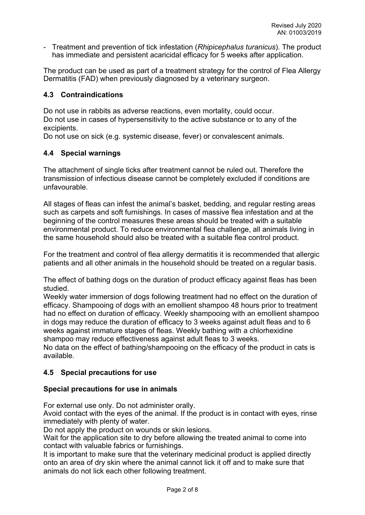- Treatment and prevention of tick infestation (*Rhipicephalus turanicus*). The product has immediate and persistent acaricidal efficacy for 5 weeks after application.

The product can be used as part of a treatment strategy for the control of Flea Allergy Dermatitis (FAD) when previously diagnosed by a veterinary surgeon.

## **4.3 Contraindications**

Do not use in rabbits as adverse reactions, even mortality, could occur. Do not use in cases of hypersensitivity to the active substance or to any of the excipients.

Do not use on sick (e.g. systemic disease, fever) or convalescent animals.

## **4.4 Special warnings**

The attachment of single ticks after treatment cannot be ruled out. Therefore the transmission of infectious disease cannot be completely excluded if conditions are unfavourable.

All stages of fleas can infest the animal's basket, bedding, and regular resting areas such as carpets and soft furnishings. In cases of massive flea infestation and at the beginning of the control measures these areas should be treated with a suitable environmental product. To reduce environmental flea challenge, all animals living in the same household should also be treated with a suitable flea control product.

For the treatment and control of flea allergy dermatitis it is recommended that allergic patients and all other animals in the household should be treated on a regular basis.

The effect of bathing dogs on the duration of product efficacy against fleas has been studied.

Weekly water immersion of dogs following treatment had no effect on the duration of efficacy. Shampooing of dogs with an emollient shampoo 48 hours prior to treatment had no effect on duration of efficacy. Weekly shampooing with an emollient shampoo in dogs may reduce the duration of efficacy to 3 weeks against adult fleas and to 6 weeks against immature stages of fleas. Weekly bathing with a chlorhexidine shampoo may reduce effectiveness against adult fleas to 3 weeks.

No data on the effect of bathing/shampooing on the efficacy of the product in cats is available.

# **4.5 Special precautions for use**

## **Special precautions for use in animals**

For external use only. Do not administer orally.

Avoid contact with the eyes of the animal. If the product is in contact with eyes, rinse immediately with plenty of water.

Do not apply the product on wounds or skin lesions.

Wait for the application site to dry before allowing the treated animal to come into contact with valuable fabrics or furnishings.

It is important to make sure that the veterinary medicinal product is applied directly onto an area of dry skin where the animal cannot lick it off and to make sure that animals do not lick each other following treatment.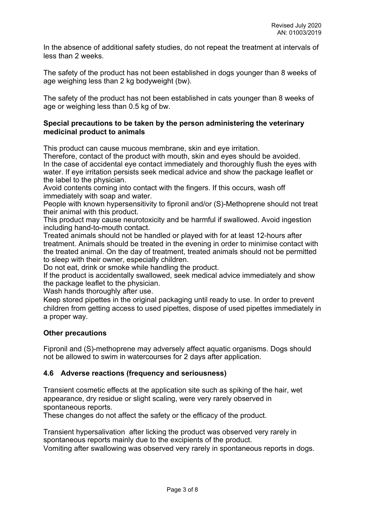In the absence of additional safety studies, do not repeat the treatment at intervals of less than 2 weeks.

The safety of the product has not been established in dogs younger than 8 weeks of age weighing less than 2 kg bodyweight (bw).

The safety of the product has not been established in cats younger than 8 weeks of age or weighing less than 0.5 kg of bw.

### **Special precautions to be taken by the person administering the veterinary medicinal product to animals**

This product can cause mucous membrane, skin and eye irritation.

Therefore, contact of the product with mouth, skin and eyes should be avoided. In the case of accidental eye contact immediately and thoroughly flush the eyes with water. If eye irritation persists seek medical advice and show the package leaflet or the label to the physician.

Avoid contents coming into contact with the fingers. If this occurs, wash off immediately with soap and water.

People with known hypersensitivity to fipronil and/or (S)-Methoprene should not treat their animal with this product.

This product may cause neurotoxicity and be harmful if swallowed. Avoid ingestion including hand-to-mouth contact.

Treated animals should not be handled or played with for at least 12-hours after treatment. Animals should be treated in the evening in order to minimise contact with the treated animal. On the day of treatment, treated animals should not be permitted to sleep with their owner, especially children.

Do not eat, drink or smoke while handling the product.

If the product is accidentally swallowed, seek medical advice immediately and show the package leaflet to the physician.

Wash hands thoroughly after use.

Keep stored pipettes in the original packaging until ready to use. In order to prevent children from getting access to used pipettes, dispose of used pipettes immediately in a proper way.

## **Other precautions**

Fipronil and (S)-methoprene may adversely affect aquatic organisms. Dogs should not be allowed to swim in watercourses for 2 days after application.

## **4.6 Adverse reactions (frequency and seriousness)**

Transient cosmetic effects at the application site such as spiking of the hair, wet appearance, dry residue or slight scaling, were very rarely observed in spontaneous reports.

These changes do not affect the safety or the efficacy of the product.

Transient hypersalivation after licking the product was observed very rarely in spontaneous reports mainly due to the excipients of the product. Vomiting after swallowing was observed very rarely in spontaneous reports in dogs.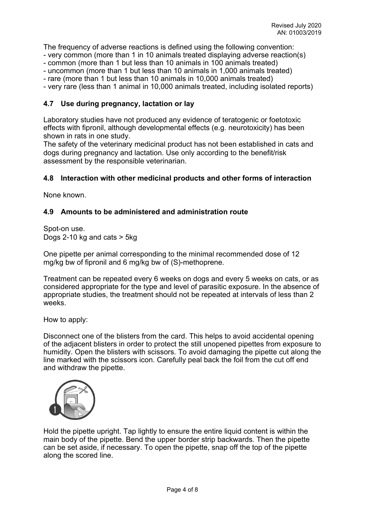The frequency of adverse reactions is defined using the following convention: - very common (more than 1 in 10 animals treated displaying adverse reaction(s)

- common (more than 1 but less than 10 animals in 100 animals treated)
- uncommon (more than 1 but less than 10 animals in 1,000 animals treated)
- rare (more than 1 but less than 10 animals in 10,000 animals treated)

- very rare (less than 1 animal in 10,000 animals treated, including isolated reports)

## **4.7 Use during pregnancy, lactation or lay**

Laboratory studies have not produced any evidence of teratogenic or foetotoxic effects with fipronil, although developmental effects (e.g. neurotoxicity) has been shown in rats in one study.

The safety of the veterinary medicinal product has not been established in cats and dogs during pregnancy and lactation. Use only according to the benefit/risk assessment by the responsible veterinarian.

### **4.8 Interaction with other medicinal products and other forms of interaction**

None known.

### **4.9 Amounts to be administered and administration route**

Spot-on use. Dogs 2-10 kg and cats > 5kg

One pipette per animal corresponding to the minimal recommended dose of 12 mg/kg bw of fipronil and 6 mg/kg bw of (S)-methoprene.

Treatment can be repeated every 6 weeks on dogs and every 5 weeks on cats, or as considered appropriate for the type and level of parasitic exposure. In the absence of appropriate studies, the treatment should not be repeated at intervals of less than 2 weeks.

How to apply:

Disconnect one of the blisters from the card. This helps to avoid accidental opening of the adjacent blisters in order to protect the still unopened pipettes from exposure to humidity. Open the blisters with scissors. To avoid damaging the pipette cut along the line marked with the scissors icon. Carefully peal back the foil from the cut off end and withdraw the pipette.



Hold the pipette upright. Tap lightly to ensure the entire liquid content is within the main body of the pipette. Bend the upper border strip backwards. Then the pipette can be set aside, if necessary. To open the pipette, snap off the top of the pipette along the scored line.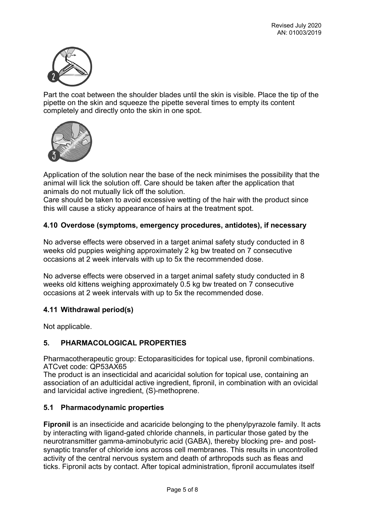

Part the coat between the shoulder blades until the skin is visible. Place the tip of the pipette on the skin and squeeze the pipette several times to empty its content completely and directly onto the skin in one spot.



Application of the solution near the base of the neck minimises the possibility that the animal will lick the solution off. Care should be taken after the application that animals do not mutually lick off the solution.

Care should be taken to avoid excessive wetting of the hair with the product since this will cause a sticky appearance of hairs at the treatment spot.

## **4.10 Overdose (symptoms, emergency procedures, antidotes), if necessary**

No adverse effects were observed in a target animal safety study conducted in 8 weeks old puppies weighing approximately 2 kg bw treated on 7 consecutive occasions at 2 week intervals with up to 5x the recommended dose.

No adverse effects were observed in a target animal safety study conducted in 8 weeks old kittens weighing approximately 0.5 kg bw treated on 7 consecutive occasions at 2 week intervals with up to 5x the recommended dose.

## **4.11 Withdrawal period(s)**

Not applicable.

# **5. PHARMACOLOGICAL PROPERTIES**

Pharmacotherapeutic group: Ectoparasiticides for topical use, fipronil combinations. ATCvet code: QP53AX65

The product is an insecticidal and acaricidal solution for topical use, containing an association of an adulticidal active ingredient, fipronil, in combination with an ovicidal and larvicidal active ingredient, (S)-methoprene.

## **5.1 Pharmacodynamic properties**

**Fipronil** is an insecticide and acaricide belonging to the phenylpyrazole family. It acts by interacting with ligand-gated chloride channels, in particular those gated by the neurotransmitter gamma-aminobutyric acid (GABA), thereby blocking pre- and postsynaptic transfer of chloride ions across cell membranes. This results in uncontrolled activity of the central nervous system and death of arthropods such as fleas and ticks. Fipronil acts by contact. After topical administration, fipronil accumulates itself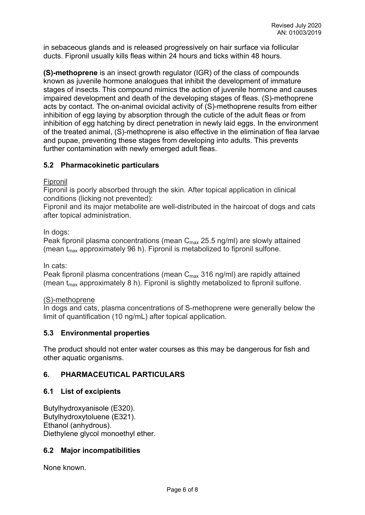in sebaceous glands and is released progressively on hair surface via follicular ducts. Fipronil usually kills fleas within 24 hours and ticks within 48 hours.

**(S)-methoprene** is an insect growth regulator (IGR) of the class of compounds known as juvenile hormone analogues that inhibit the development of immature stages of insects. This compound mimics the action of juvenile hormone and causes impaired development and death of the developing stages of fleas. (S)-methoprene acts by contact. The on-animal ovicidal activity of (S)-methoprene results from either inhibition of egg laying by absorption through the cuticle of the adult fleas or from inhibition of egg hatching by direct penetration in newly laid eggs. In the environment of the treated animal, (S)-methoprene is also effective in the elimination of flea larvae and pupae, preventing these stages from developing into adults. This prevents further contamination with newly emerged adult fleas.

## **5.2 Pharmacokinetic particulars**

## Fipronil

Fipronil is poorly absorbed through the skin. After topical application in clinical conditions (licking not prevented):

Fipronil and its major metabolite are well-distributed in the haircoat of dogs and cats after topical administration.

### In dogs:

Peak fipronil plasma concentrations (mean  $C_{\text{max}}$  25.5 ng/ml) are slowly attained (mean  $t_{max}$  approximately 96 h). Fipronil is metabolized to fipronil sulfone.

In cats:

Peak fipronil plasma concentrations (mean  $C_{\text{max}}$  316 ng/ml) are rapidly attained (mean  $t_{max}$  approximately 8 h). Fipronil is slightly metabolized to fipronil sulfone.

## (S)-methoprene

In dogs and cats, plasma concentrations of S-methoprene were generally below the limit of quantification (10 ng/mL) after topical application.

## **5.3 Environmental properties**

The product should not enter water courses as this may be dangerous for fish and other aquatic organisms.

## **6. PHARMACEUTICAL PARTICULARS**

## **6.1 List of excipients**

Butylhydroxyanisole (E320). Butylhydroxytoluene (E321). Ethanol (anhydrous). Diethylene glycol monoethyl ether.

## **6.2 Major incompatibilities**

None known.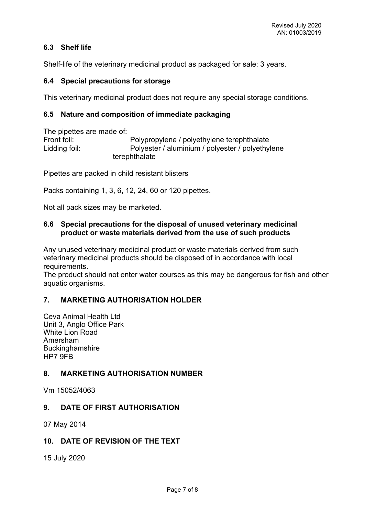# **6.3 Shelf life**

Shelf-life of the veterinary medicinal product as packaged for sale: 3 years.

## **6.4 Special precautions for storage**

This veterinary medicinal product does not require any special storage conditions.

## **6.5 Nature and composition of immediate packaging**

The pipettes are made of: Front foil: Polypropylene / polyethylene terephthalate Lidding foil: Polyester / aluminium / polyester / polyethylene terephthalate

Pipettes are packed in child resistant blisters

Packs containing 1, 3, 6, 12, 24, 60 or 120 pipettes.

Not all pack sizes may be marketed.

## **6.6 Special precautions for the disposal of unused veterinary medicinal product or waste materials derived from the use of such products**

Any unused veterinary medicinal product or waste materials derived from such veterinary medicinal products should be disposed of in accordance with local requirements.

The product should not enter water courses as this may be dangerous for fish and other aquatic organisms.

# **7. MARKETING AUTHORISATION HOLDER**

Ceva Animal Health Ltd Unit 3, Anglo Office Park White Lion Road Amersham Buckinghamshire HP7 9FB

# **8. MARKETING AUTHORISATION NUMBER**

Vm 15052/4063

# **9. DATE OF FIRST AUTHORISATION**

07 May 2014

## **10. DATE OF REVISION OF THE TEXT**

15 July 2020